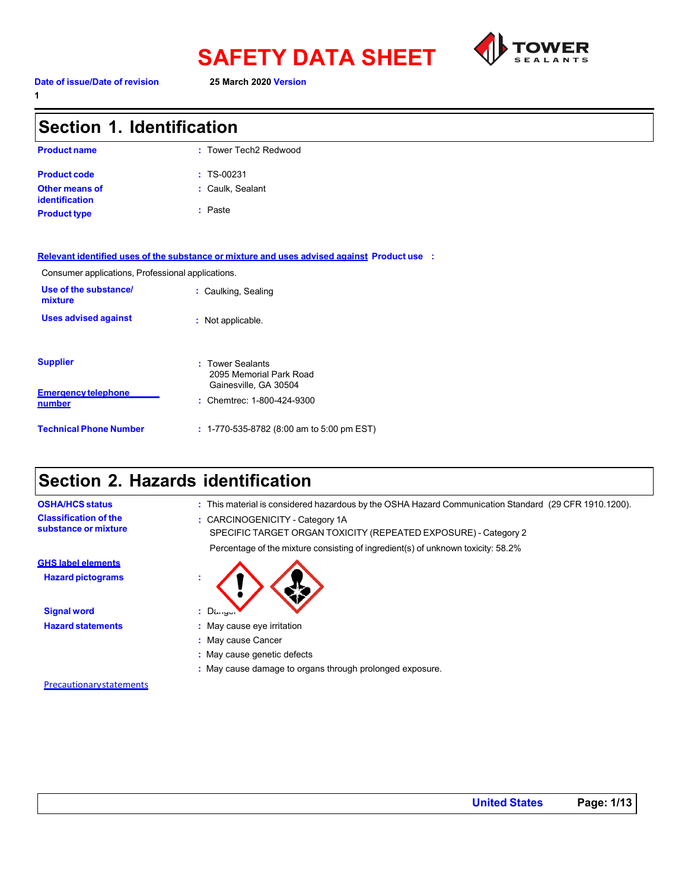



**1**

| Section 1. Identification                         |                                                                                             |  |
|---------------------------------------------------|---------------------------------------------------------------------------------------------|--|
| <b>Product name</b>                               | : Tower Tech2 Redwood                                                                       |  |
| <b>Product code</b>                               | $: TS-00231$                                                                                |  |
| <b>Other means of</b><br><b>identification</b>    | : Caulk, Sealant                                                                            |  |
| <b>Product type</b>                               | : Paste                                                                                     |  |
|                                                   | Relevant identified uses of the substance or mixture and uses advised against Product use : |  |
| Consumer applications, Professional applications. |                                                                                             |  |
| Use of the substance/<br>mixture                  | : Caulking, Sealing                                                                         |  |
| <b>Uses advised against</b>                       | : Not applicable.                                                                           |  |
| <b>Supplier</b>                                   | : Tower Sealants<br>2095 Memorial Park Road<br>Gainesville, GA 30504                        |  |
| <b>Emergency telephone</b><br>number              | : Chemtrec: 1-800-424-9300                                                                  |  |
| <b>Technical Phone Number</b>                     | $: 1-770-535-8782$ (8:00 am to 5:00 pm EST)                                                 |  |

### **Section 2. Hazards identification**

**OSHA/HCS status :** This material is considered hazardous by the OSHA Hazard Communication Standard (29 CFR 1910.1200). **Classification of the substance or mixture :** CARCINOGENICITY - Category 1A

SPECIFIC TARGET ORGAN TOXICITY (REPEATED EXPOSURE) - Category 2

Percentage of the mixture consisting of ingredient(s) of unknown toxicity: 58.2%

**Signal word :** Danger

- **Hazard statements :** May cause eye irritation
	- **:** May cause Cancer
	- **:** May cause genetic defects
	- **:** May cause damage to organs through prolonged exposure.

**Precautionarystatements** 

**GHS label elements Hazard pictograms :**

**United States Page: 1/13**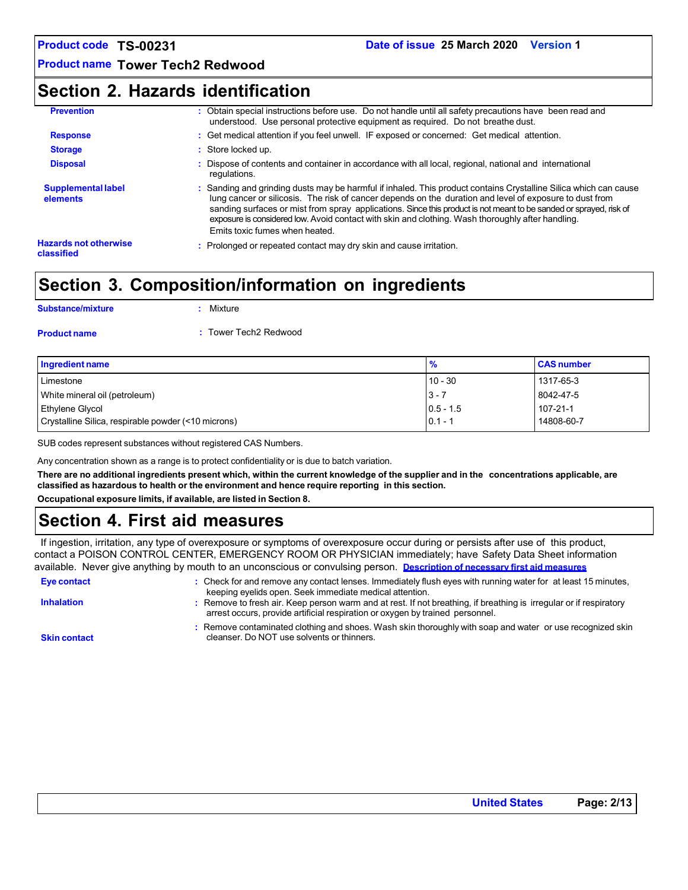### **Product name Tower Tech2 Redwood**

### **Section 2. Hazards identification**

| <b>Prevention</b>                          | : Obtain special instructions before use. Do not handle until all safety precautions have been read and<br>understood. Use personal protective equipment as required. Do not breathe dust.                                                                                                                                                                                                                                                                                               |
|--------------------------------------------|------------------------------------------------------------------------------------------------------------------------------------------------------------------------------------------------------------------------------------------------------------------------------------------------------------------------------------------------------------------------------------------------------------------------------------------------------------------------------------------|
| <b>Response</b>                            | : Get medical attention if you feel unwell. IF exposed or concerned: Get medical attention.                                                                                                                                                                                                                                                                                                                                                                                              |
| <b>Storage</b>                             | : Store locked up.                                                                                                                                                                                                                                                                                                                                                                                                                                                                       |
| <b>Disposal</b>                            | : Dispose of contents and container in accordance with all local, regional, national and international<br>regulations.                                                                                                                                                                                                                                                                                                                                                                   |
| <b>Supplemental label</b><br>elements      | : Sanding and grinding dusts may be harmful if inhaled. This product contains Crystalline Silica which can cause<br>lung cancer or silicosis. The risk of cancer depends on the duration and level of exposure to dust from<br>sanding surfaces or mist from spray applications. Since this product is not meant to be sanded or sprayed, risk of<br>exposure is considered low. Avoid contact with skin and clothing. Wash thoroughly after handling.<br>Emits toxic fumes when heated. |
| <b>Hazards not otherwise</b><br>classified | : Prolonged or repeated contact may dry skin and cause irritation.                                                                                                                                                                                                                                                                                                                                                                                                                       |

### **Section 3. Composition/information on ingredients**

| <b>Substance/mixture</b> | $:$ Mixture           |
|--------------------------|-----------------------|
| <b>Product name</b>      | : Tower Tech2 Redwood |

| Ingredient name                                     | $\frac{9}{6}$ | <b>CAS number</b> |
|-----------------------------------------------------|---------------|-------------------|
| Limestone                                           | $10 - 30$     | 1317-65-3         |
| White mineral oil (petroleum)                       | $3 - 7$       | 8042-47-5         |
| Ethylene Glycol                                     | $0.5 - 1.5$   | 107-21-1          |
| Crystalline Silica, respirable powder (<10 microns) | $0.1 - 1$     | 14808-60-7        |

SUB codes represent substances without registered CAS Numbers.

Any concentration shown as a range is to protect confidentiality or is due to batch variation.

There are no additional ingredients present which, within the current knowledge of the supplier and in the concentrations applicable, are **classified as hazardous to health or the environment and hence require reporting in this section.**

**Occupational exposure limits, if available, are listed in Section 8.**

# **Section 4. First aid measures**

If ingestion, irritation, any type of overexposure or symptoms of overexposure occur during or persists after use of this product, contact a POISON CONTROL CENTER, EMERGENCY ROOM OR PHYSICIAN immediately; have Safety Data Sheet information available. Never give anything by mouth to an unconscious or convulsing person. **Description of necessary first aid measures**

| Eye contact         | : Check for and remove any contact lenses. Immediately flush eyes with running water for at least 15 minutes,<br>keeping eyelids open. Seek immediate medical attention.                          |
|---------------------|---------------------------------------------------------------------------------------------------------------------------------------------------------------------------------------------------|
| <b>Inhalation</b>   | Remove to fresh air. Keep person warm and at rest. If not breathing, if breathing is irregular or if respiratory<br>arrest occurs, provide artificial respiration or oxygen by trained personnel. |
| <b>Skin contact</b> | : Remove contaminated clothing and shoes. Wash skin thoroughly with soap and water or use recognized skin<br>cleanser. Do NOT use solvents or thinners.                                           |

**Skin contact**

**United States Page: 2/13**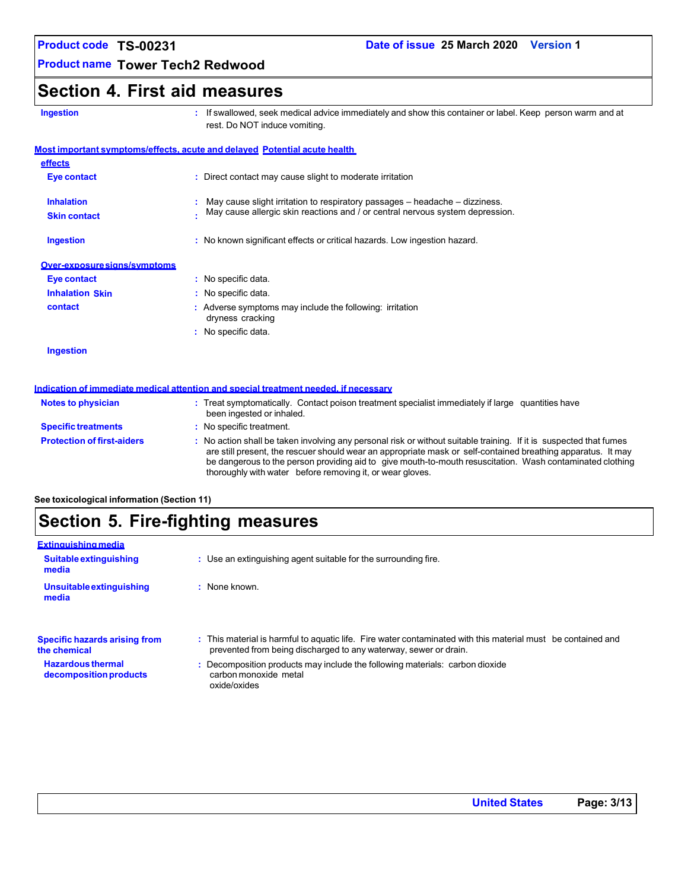**Product name Tower Tech2 Redwood**

### **Section 4. First aid measures**

| ш | r | - | ٠ | о | п |
|---|---|---|---|---|---|
|   |   |   |   |   |   |

**Ingestion :** If swallowed, seek medical advice immediately and show this container or label. Keep person warm and at rest. Do NOT induce vomiting.

be dangerous to the person providing aid to give mouth-to-mouth resuscitation. Wash contaminated clothing

|                                   | <b>Most important symptoms/effects, acute and delayed Potential acute health</b>                                                                                                                                                   |
|-----------------------------------|------------------------------------------------------------------------------------------------------------------------------------------------------------------------------------------------------------------------------------|
| effects                           |                                                                                                                                                                                                                                    |
| Eye contact                       | : Direct contact may cause slight to moderate irritation                                                                                                                                                                           |
| <b>Inhalation</b>                 | May cause slight irritation to respiratory passages $-$ headache $-$ dizziness.                                                                                                                                                    |
| <b>Skin contact</b>               | May cause allergic skin reactions and / or central nervous system depression.                                                                                                                                                      |
| Ingestion                         | : No known significant effects or critical hazards. Low ingestion hazard.                                                                                                                                                          |
| Over-exposure signs/symptoms      |                                                                                                                                                                                                                                    |
| Eye contact                       | : No specific data.                                                                                                                                                                                                                |
| <b>Inhalation Skin</b>            | : No specific data.                                                                                                                                                                                                                |
| contact                           | : Adverse symptoms may include the following: irritation<br>dryness cracking                                                                                                                                                       |
|                                   | : No specific data.                                                                                                                                                                                                                |
| Ingestion                         |                                                                                                                                                                                                                                    |
|                                   | Indication of immediate medical attention and special treatment needed, if necessary                                                                                                                                               |
| <b>Notes to physician</b>         | : Treat symptomatically. Contact poison treatment specialist immediately if large quantities have<br>been ingested or inhaled.                                                                                                     |
| <b>Specific treatments</b>        | : No specific treatment.                                                                                                                                                                                                           |
| <b>Protection of first-aiders</b> | : No action shall be taken involving any personal risk or without suitable training. If it is suspected that fumes<br>are still present, the rescuer should wear an appropriate mask or self-contained breathing apparatus. It may |

### **See toxicological information (Section 11)**

# **Section 5. Fire-fighting measures**

| <b>Extinguishing media</b>                           |                                                                                                                                                                                  |
|------------------------------------------------------|----------------------------------------------------------------------------------------------------------------------------------------------------------------------------------|
| Suitable extinguishing<br>media                      | : Use an extinguishing agent suitable for the surrounding fire.                                                                                                                  |
| <b>Unsuitable extinguishing</b><br>media             | $:$ None known                                                                                                                                                                   |
| <b>Specific hazards arising from</b><br>the chemical | : This material is harmful to aquatic life. Fire water contaminated with this material must be contained and<br>prevented from being discharged to any waterway, sewer or drain. |
| <b>Hazardous thermal</b><br>decomposition products   | : Decomposition products may include the following materials: carbon dioxide<br>carbon monoxide metal<br>oxide/oxides                                                            |

thoroughly with water before removing it, or wear gloves.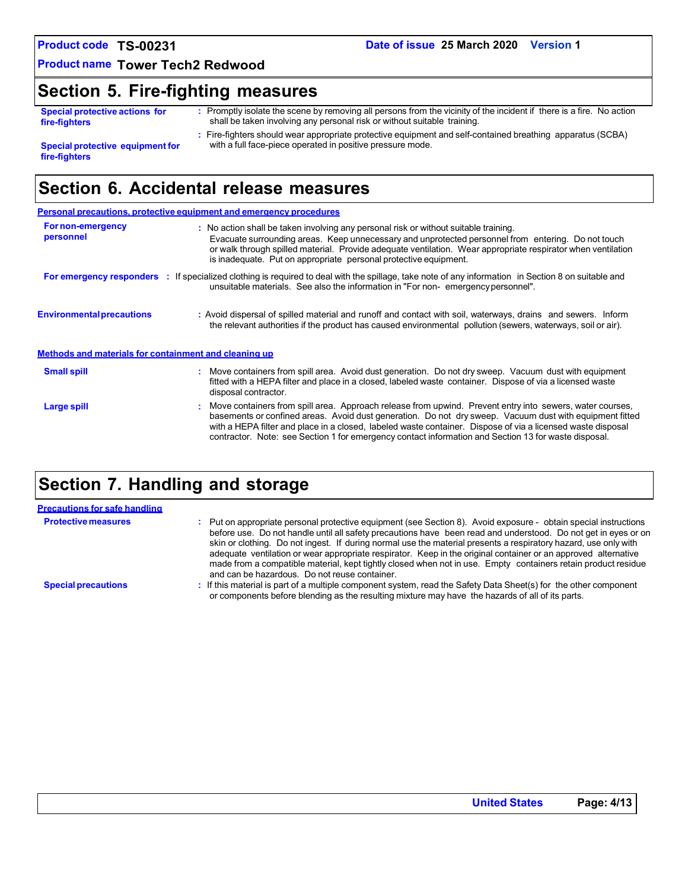**Product name Tower Tech2 Redwood**

## **Section 5. Fire-fighting measures**

|               | <b>Special protective actions for</b> |  |
|---------------|---------------------------------------|--|
| fire-fighters |                                       |  |

**:** Promptly isolate the scene by removing all persons from the vicinity of the incident if there is a fire. No action shall be taken involving any personal risk or without suitable training.

**Special protective equipment for fire-fighters**

**:** Fire-fighters should wear appropriate protective equipment and self-contained breathing apparatus (SCBA) with a full face-piece operated in positive pressure mode.

# **Section 6. Accidental release measures**

|                                                       | <b>Personal precautions, protective equipment and emergency procedures</b>                                                                                                                                                                                                                                                                                                                                                                   |
|-------------------------------------------------------|----------------------------------------------------------------------------------------------------------------------------------------------------------------------------------------------------------------------------------------------------------------------------------------------------------------------------------------------------------------------------------------------------------------------------------------------|
| <b>For non-emergency</b><br>personnel                 | : No action shall be taken involving any personal risk or without suitable training.<br>Evacuate surrounding areas. Keep unnecessary and unprotected personnel from entering. Do not touch<br>or walk through spilled material. Provide adequate ventilation. Wear appropriate respirator when ventilation<br>is inadequate. Put on appropriate personal protective equipment.                                                               |
|                                                       | For emergency responders : If specialized clothing is required to deal with the spillage, take note of any information in Section 8 on suitable and<br>unsuitable materials. See also the information in "For non-emergency personnel".                                                                                                                                                                                                      |
| <b>Environmental precautions</b>                      | : Avoid dispersal of spilled material and runoff and contact with soil, waterways, drains and sewers. Inform<br>the relevant authorities if the product has caused environmental pollution (sewers, waterways, soil or air).                                                                                                                                                                                                                 |
| Methods and materials for containment and cleaning up |                                                                                                                                                                                                                                                                                                                                                                                                                                              |
| <b>Small spill</b>                                    | : Move containers from spill area. Avoid dust generation. Do not dry sweep. Vacuum dust with equipment<br>fitted with a HEPA filter and place in a closed, labeled waste container. Dispose of via a licensed waste<br>disposal contractor.                                                                                                                                                                                                  |
| Large spill                                           | : Move containers from spill area. Approach release from upwind. Prevent entry into sewers, water courses,<br>basements or confined areas. Avoid dust generation. Do not dry sweep. Vacuum dust with equipment fitted<br>with a HEPA filter and place in a closed, labeled waste container. Dispose of via a licensed waste disposal<br>contractor. Note: see Section 1 for emergency contact information and Section 13 for waste disposal. |

# **Section 7. Handling and storage**

| <b>Precautions for safe handling</b> |                                                                                                                                                                                                                                                                                                                                                                                                                                                                                                                                                                                                                                           |
|--------------------------------------|-------------------------------------------------------------------------------------------------------------------------------------------------------------------------------------------------------------------------------------------------------------------------------------------------------------------------------------------------------------------------------------------------------------------------------------------------------------------------------------------------------------------------------------------------------------------------------------------------------------------------------------------|
| <b>Protective measures</b>           | : Put on appropriate personal protective equipment (see Section 8). Avoid exposure - obtain special instructions<br>before use. Do not handle until all safety precautions have been read and understood. Do not get in eyes or on<br>skin or clothing. Do not ingest. If during normal use the material presents a respiratory hazard, use only with<br>adequate ventilation or wear appropriate respirator. Keep in the original container or an approved alternative<br>made from a compatible material, kept tightly closed when not in use. Empty containers retain product residue<br>and can be hazardous. Do not reuse container. |
| <b>Special precautions</b>           | : If this material is part of a multiple component system, read the Safety Data Sheet(s) for the other component<br>or components before blending as the resulting mixture may have the hazards of all of its parts.                                                                                                                                                                                                                                                                                                                                                                                                                      |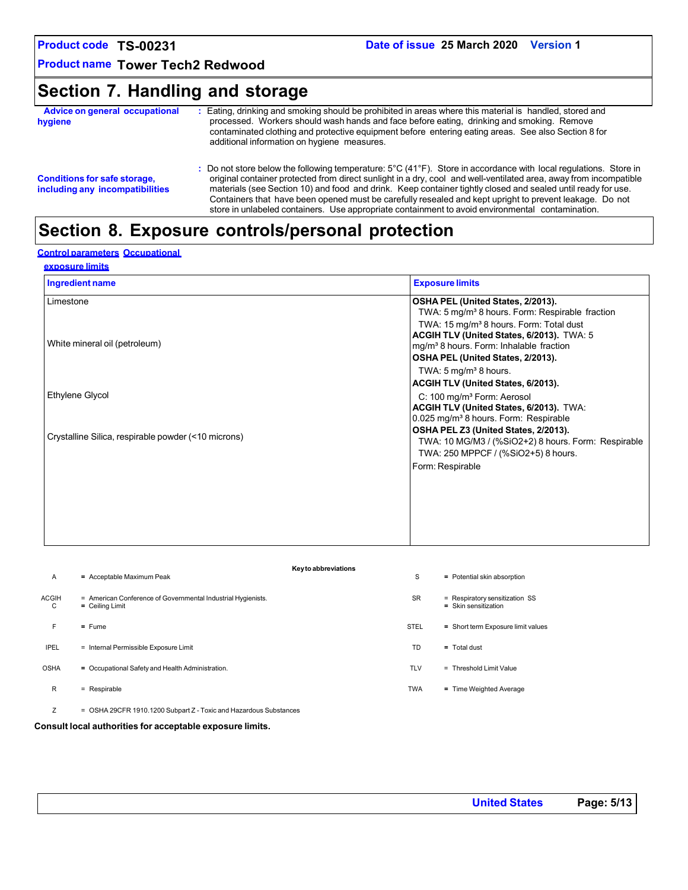**Product name Tower Tech2 Redwood**

# **Section 7. Handling and storage**

| Advice on general occupational<br>hygiene                              | Eating, drinking and smoking should be prohibited in areas where this material is handled, stored and<br>processed. Workers should wash hands and face before eating, drinking and smoking. Remove<br>contaminated clothing and protective equipment before entering eating areas. See also Section 8 for<br>additional information on hygiene measures.                                                                                                                                                                                                             |
|------------------------------------------------------------------------|----------------------------------------------------------------------------------------------------------------------------------------------------------------------------------------------------------------------------------------------------------------------------------------------------------------------------------------------------------------------------------------------------------------------------------------------------------------------------------------------------------------------------------------------------------------------|
| <b>Conditions for safe storage,</b><br>including any incompatibilities | : Do not store below the following temperature: 5°C (41°F). Store in accordance with local regulations. Store in<br>original container protected from direct sunlight in a dry, cool and well-ventilated area, away from incompatible<br>materials (see Section 10) and food and drink. Keep container tightly closed and sealed until ready for use.<br>Containers that have been opened must be carefully resealed and kept upright to prevent leakage. Do not<br>store in unlabeled containers. Use appropriate containment to avoid environmental contamination. |

# **Section 8. Exposure controls/personal protection**

### **Control parameters Occupational**

| Ingredient name                                     | <b>Exposure limits</b>                                      |
|-----------------------------------------------------|-------------------------------------------------------------|
| Limestone                                           | OSHA PEL (United States, 2/2013).                           |
|                                                     | TWA: 5 mg/m <sup>3</sup> 8 hours. Form: Respirable fraction |
|                                                     | TWA: 15 mg/m <sup>3</sup> 8 hours. Form: Total dust         |
|                                                     | ACGIH TLV (United States, 6/2013). TWA: 5                   |
| White mineral oil (petroleum)                       | mg/m <sup>3</sup> 8 hours. Form: Inhalable fraction         |
|                                                     | OSHA PEL (United States, 2/2013).                           |
|                                                     | TWA: $5 \text{ mg/m}^3$ 8 hours.                            |
|                                                     | ACGIH TLV (United States, 6/2013).                          |
| Ethylene Glycol                                     | C: 100 mg/m <sup>3</sup> Form: Aerosol                      |
|                                                     | ACGIH TLV (United States, 6/2013). TWA:                     |
|                                                     | 0.025 mg/m <sup>3</sup> 8 hours. Form: Respirable           |
|                                                     | OSHA PEL Z3 (United States, 2/2013).                        |
| Crystalline Silica, respirable powder (<10 microns) | TWA: 10 MG/M3 / (%SiO2+2) 8 hours. Form: Respirable         |
|                                                     | TWA: 250 MPPCF / (%SiO2+5) 8 hours.                         |
|                                                     | Form: Respirable                                            |
|                                                     |                                                             |
|                                                     |                                                             |
|                                                     |                                                             |
|                                                     |                                                             |
|                                                     |                                                             |

| $\mathsf{A}$      | $=$ Acceptable Maximum Peak                                                       | Key to abbreviations<br>S | = Potential skin absorption                              |
|-------------------|-----------------------------------------------------------------------------------|---------------------------|----------------------------------------------------------|
| <b>ACGIH</b><br>C | = American Conference of Governmental Industrial Hygienists.<br>$=$ Ceiling Limit | <b>SR</b>                 | = Respiratory sensitization SS<br>$=$ Skin sensitization |
| F.                | $=$ Fume                                                                          | <b>STEL</b>               | = Short term Exposure limit values                       |
| <b>IPEL</b>       | = Internal Permissible Exposure Limit                                             | TD                        | $=$ Total dust                                           |
| <b>OSHA</b>       | = Occupational Safety and Health Administration.                                  | <b>TLV</b>                | $=$ Threshold Limit Value                                |
| R                 | $=$ Respirable                                                                    | <b>TWA</b>                | = Time Weighted Average                                  |
| Ζ                 | = OSHA 29CFR 1910.1200 Subpart Z - Toxic and Hazardous Substances                 |                           |                                                          |

**Consult local authorities for acceptable exposure limits.**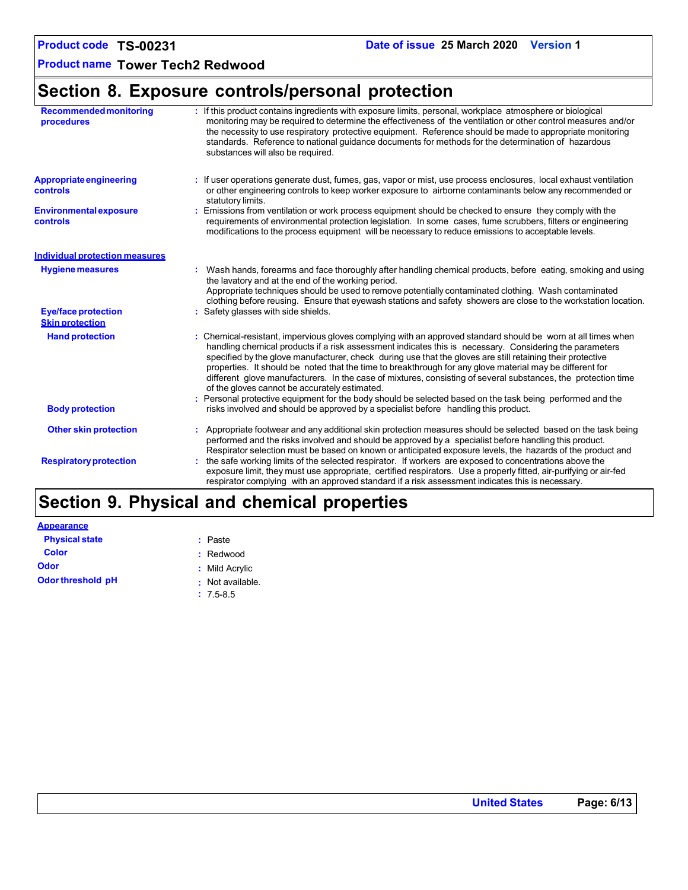**Product name Tower Tech2 Redwood**

# **Section 8. Exposure controls/personal protection**

| <b>Recommended monitoring</b><br>procedures          | : If this product contains ingredients with exposure limits, personal, workplace atmosphere or biological<br>monitoring may be required to determine the effectiveness of the ventilation or other control measures and/or<br>the necessity to use respiratory protective equipment. Reference should be made to appropriate monitoring<br>standards. Reference to national guidance documents for methods for the determination of hazardous<br>substances will also be required.                                                                                                                                  |
|------------------------------------------------------|---------------------------------------------------------------------------------------------------------------------------------------------------------------------------------------------------------------------------------------------------------------------------------------------------------------------------------------------------------------------------------------------------------------------------------------------------------------------------------------------------------------------------------------------------------------------------------------------------------------------|
| <b>Appropriate engineering</b><br>controls           | : If user operations generate dust, fumes, gas, vapor or mist, use process enclosures, local exhaust ventilation<br>or other engineering controls to keep worker exposure to airborne contaminants below any recommended or<br>statutory limits.                                                                                                                                                                                                                                                                                                                                                                    |
| <b>Environmental exposure</b><br>controls            | Emissions from ventilation or work process equipment should be checked to ensure they comply with the<br>requirements of environmental protection legislation. In some cases, fume scrubbers, filters or engineering<br>modifications to the process equipment will be necessary to reduce emissions to acceptable levels.                                                                                                                                                                                                                                                                                          |
| <b>Individual protection measures</b>                |                                                                                                                                                                                                                                                                                                                                                                                                                                                                                                                                                                                                                     |
| <b>Hygiene measures</b>                              | Wash hands, forearms and face thoroughly after handling chemical products, before eating, smoking and using<br>the lavatory and at the end of the working period.<br>Appropriate techniques should be used to remove potentially contaminated clothing. Wash contaminated<br>clothing before reusing. Ensure that eyewash stations and safety showers are close to the workstation location.                                                                                                                                                                                                                        |
| <b>Eye/face protection</b><br><b>Skin protection</b> | : Safety glasses with side shields.                                                                                                                                                                                                                                                                                                                                                                                                                                                                                                                                                                                 |
| <b>Hand protection</b>                               | : Chemical-resistant, impervious gloves complying with an approved standard should be worn at all times when<br>handling chemical products if a risk assessment indicates this is necessary. Considering the parameters<br>specified by the glove manufacturer, check during use that the gloves are still retaining their protective<br>properties. It should be noted that the time to breakthrough for any glove material may be different for<br>different glove manufacturers. In the case of mixtures, consisting of several substances, the protection time<br>of the gloves cannot be accurately estimated. |
| <b>Body protection</b>                               | : Personal protective equipment for the body should be selected based on the task being performed and the<br>risks involved and should be approved by a specialist before handling this product.                                                                                                                                                                                                                                                                                                                                                                                                                    |
| <b>Other skin protection</b>                         | Appropriate footwear and any additional skin protection measures should be selected based on the task being<br>performed and the risks involved and should be approved by a specialist before handling this product.<br>Respirator selection must be based on known or anticipated exposure levels, the hazards of the product and                                                                                                                                                                                                                                                                                  |
| <b>Respiratory protection</b>                        | the safe working limits of the selected respirator. If workers are exposed to concentrations above the<br>exposure limit, they must use appropriate, certified respirators. Use a properly fitted, air-purifying or air-fed<br>respirator complying with an approved standard if a risk assessment indicates this is necessary.                                                                                                                                                                                                                                                                                     |

# **Section 9. Physical and chemical properties**

| <u>Appearance</u>     |                  |
|-----------------------|------------------|
| <b>Physical state</b> | : Paste          |
| <b>Color</b>          | : Redwood        |
| Odor                  | : Mild Acrylic   |
| Odor threshold pH     | : Not available. |
|                       | $: 7.5 - 8.5$    |

**United States Page: 6/13**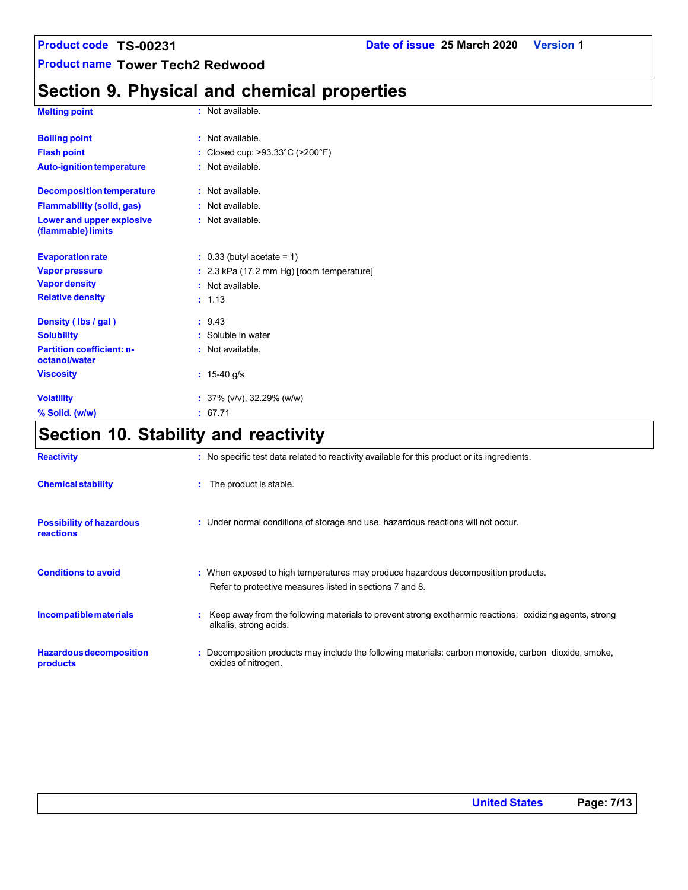**Product name Tower Tech2 Redwood**

# **Section 9. Physical and chemical properties**

| <b>Melting point</b>                              | : Not available.                        |
|---------------------------------------------------|-----------------------------------------|
| <b>Boiling point</b>                              | : Not available.                        |
| <b>Flash point</b>                                | Closed cup: >93.33°C (>200°F)           |
| <b>Auto-ignition temperature</b>                  | Not available                           |
| <b>Decomposition temperature</b>                  | Not available.                          |
| <b>Flammability (solid, gas)</b>                  | : Not available.                        |
| Lower and upper explosive<br>(flammable) limits   | : Not available.                        |
| <b>Evaporation rate</b>                           | $: 0.33$ (butyl acetate = 1)            |
| <b>Vapor pressure</b>                             | 2.3 kPa (17.2 mm Hg) [room temperature] |
| <b>Vapor density</b>                              | : Not available                         |
| <b>Relative density</b>                           | : 1.13                                  |
| Density (Ibs / gal)                               | : 9.43                                  |
| <b>Solubility</b>                                 | : Soluble in water                      |
| <b>Partition coefficient: n-</b><br>octanol/water | : Not available.                        |
| <b>Viscosity</b>                                  | $: 15-40$ g/s                           |
| <b>Volatility</b>                                 | : $37\%$ (v/v), $32.29\%$ (w/w)         |
| % Solid. (w/w)                                    | 67.71                                   |

# **Section 10. Stability and reactivity**

| <b>Reactivity</b>                            | : No specific test data related to reactivity available for this product or its ingredients.                                                  |
|----------------------------------------------|-----------------------------------------------------------------------------------------------------------------------------------------------|
| <b>Chemical stability</b>                    | : The product is stable.                                                                                                                      |
| <b>Possibility of hazardous</b><br>reactions | : Under normal conditions of storage and use, hazardous reactions will not occur.                                                             |
| <b>Conditions to avoid</b>                   | : When exposed to high temperatures may produce hazardous decomposition products.<br>Refer to protective measures listed in sections 7 and 8. |
| Incompatible materials                       | Keep away from the following materials to prevent strong exothermic reactions: oxidizing agents, strong<br>alkalis, strong acids.             |
| <b>Hazardous decomposition</b><br>products   | : Decomposition products may include the following materials: carbon monoxide, carbon dioxide, smoke,<br>oxides of nitrogen.                  |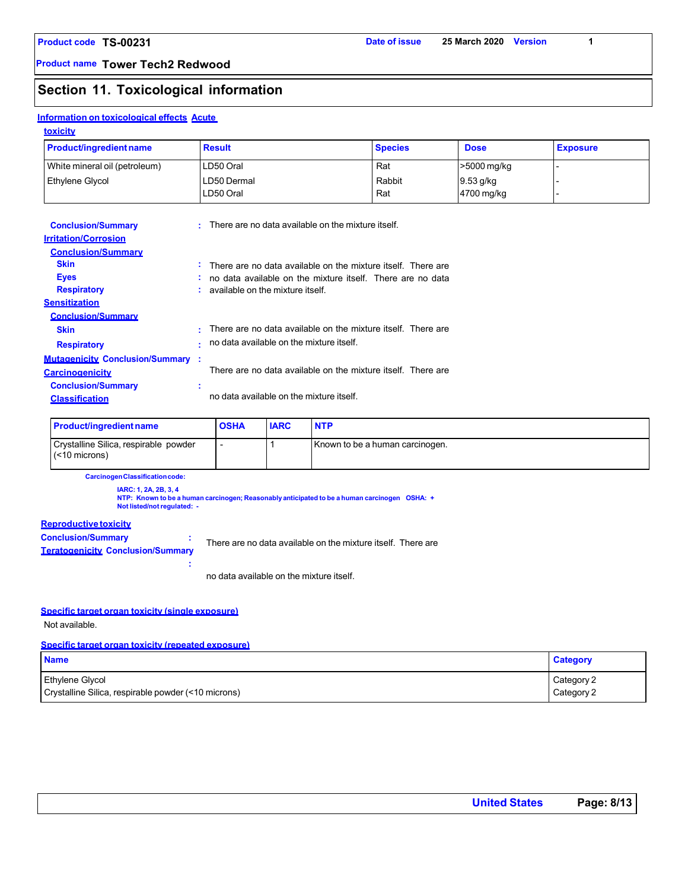**Product name Tower Tech2 Redwood**

### **Section 11. Toxicological information**

#### **Information on toxicological effects Acute**

| <b>Product/ingredient name</b> | <b>Result</b> | <b>Species</b> | <b>Dose</b> | <b>Exposure</b> |
|--------------------------------|---------------|----------------|-------------|-----------------|
| White mineral oil (petroleum)  | LD50 Oral     | Rat            | >5000 mg/kg |                 |
| <b>Ethylene Glycol</b>         | LD50 Dermal   | Rabbit         | $9.53$ g/kg |                 |
|                                | LD50 Oral     | Rat            | 4700 mg/kg  |                 |

| <b>Conclusion/Summary</b><br><b>Irritation/Corrosion</b><br><b>Conclusion/Summary</b> | ÷        | There are no data available on the mixture itself.                                                                                                             |
|---------------------------------------------------------------------------------------|----------|----------------------------------------------------------------------------------------------------------------------------------------------------------------|
| <b>Skin</b><br><b>Eyes</b><br><b>Respiratory</b>                                      | ÷.<br>×. | There are no data available on the mixture itself. There are<br>no data available on the mixture itself. There are no data<br>available on the mixture itself. |
| <b>Sensitization</b><br><b>Conclusion/Summary</b><br><b>Skin</b>                      | ٠        | There are no data available on the mixture itself. There are                                                                                                   |
| <b>Respiratory</b><br><b>Mutagenicity Conclusion/Summary:</b>                         | ٠        | no data available on the mixture itself.                                                                                                                       |
| <b>Carcinogenicity</b><br><b>Conclusion/Summary</b>                                   | ÷        | There are no data available on the mixture itself. There are                                                                                                   |
| <b>Classification</b>                                                                 |          | no data available on the mixture itself                                                                                                                        |

| <b>Product/ingredient name</b>                            | <b>OSHA</b> | <b>IARC</b> | <b>NTP</b>                      |
|-----------------------------------------------------------|-------------|-------------|---------------------------------|
| Crystalline Silica, respirable powder<br>$(< 10$ microns) |             |             | Known to be a human carcinogen. |

**CarcinogenClassificationcode:**

**IARC: 1, 2A, 2B, 3, 4 NTP: Known to be a human carcinogen; Reasonably anticipated to be a human carcinogen OSHA: + Not listed/notregulated: -**

no data available on the mixture itself.

### **Reproductive toxicity**

**Conclusion/Summary : Teratogenicity Conclusion/Summary :** There are no data available on the mixture itself. There are

#### **Specific target organ toxicity (single exposure)**

Not available.

#### **Specific target organ toxicity (repeated exposure)**

| <b>Name</b>                                         | <b>Category</b> |
|-----------------------------------------------------|-----------------|
| <b>Ethylene Glycol</b>                              | Category 2      |
| Crystalline Silica, respirable powder (<10 microns) | Category 2      |

| <b>United States</b> | Page: 8/13 |
|----------------------|------------|
|----------------------|------------|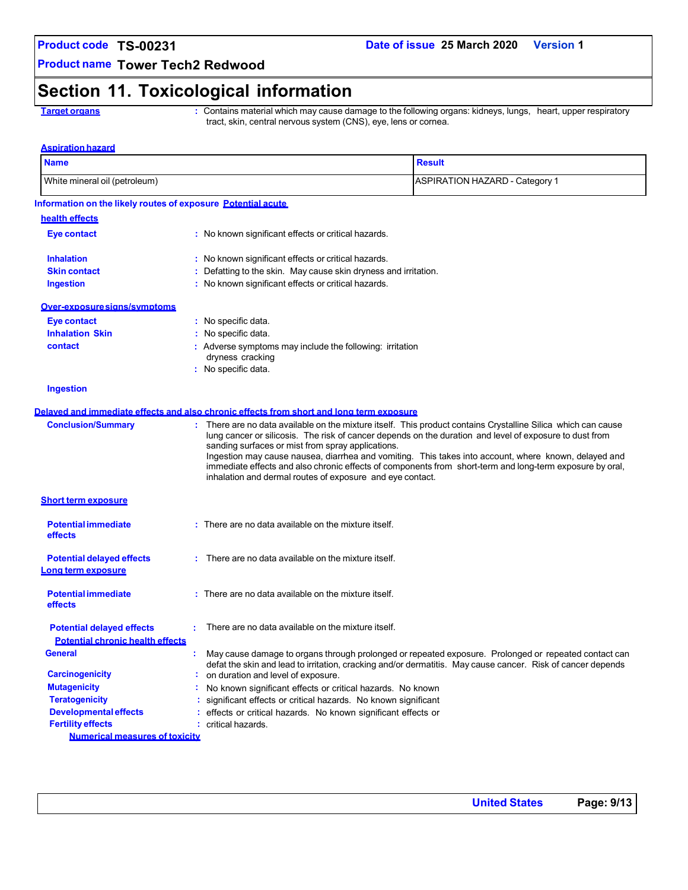### **Date of issue 25 March 2020 Version 1**

**Product name Tower Tech2 Redwood**

# **Section 11. Toxicological information**

**Target organs :** Contains material which may cause damage to the following organs: kidneys, lungs, heart, upper respiratory tract, skin, central nervous system (CNS), eye, lens or cornea.

| White mineral oil (petroleum)<br><b>ASPIRATION HAZARD - Category 1</b><br>Information on the likely routes of exposure Potential acute<br>health effects<br>Eye contact<br>: No known significant effects or critical hazards.<br><b>Inhalation</b><br>: No known significant effects or critical hazards.<br>: Defatting to the skin. May cause skin dryness and irritation.<br><b>Skin contact</b><br>: No known significant effects or critical hazards.<br><b>Ingestion</b><br><u>Over-exposuresians/symptoms</u><br>Eye contact<br>: No specific data.<br><b>Inhalation Skin</b><br>: No specific data.<br>contact<br>: Adverse symptoms may include the following: irritation<br>dryness cracking<br>: No specific data.<br><b>Ingestion</b><br>Delayed and immediate effects and also chronic effects from short and long term exposure<br><b>Conclusion/Summary</b><br>There are no data available on the mixture itself. This product contains Crystalline Silica which can cause<br>lung cancer or silicosis. The risk of cancer depends on the duration and level of exposure to dust from<br>sanding surfaces or mist from spray applications.<br>Ingestion may cause nausea, diarrhea and vomiting. This takes into account, where known, delayed and<br>immediate effects and also chronic effects of components from short-term and long-term exposure by oral,<br>inhalation and dermal routes of exposure and eye contact.<br><b>Short term exposure</b><br><b>Potential immediate</b><br>: There are no data available on the mixture itself.<br>effects<br>$:$ There are no data available on the mixture itself.<br><b>Potential delayed effects</b><br><u>Long term exposure</u><br><b>Potential immediate</b><br>: There are no data available on the mixture itself.<br>effects<br>: There are no data available on the mixture itself.<br><b>Potential delayed effects</b><br><b>Potential chronic health effects</b><br><b>General</b><br>May cause damage to organs through prolonged or repeated exposure. Prolonged or repeated contact can<br>defat the skin and lead to irritation, cracking and/or dermatitis. May cause cancer. Risk of cancer depends<br><b>Carcinogenicity</b><br>: on duration and level of exposure.<br><b>Mutagenicity</b><br>No known significant effects or critical hazards. No known<br><b>Teratogenicity</b><br>: significant effects or critical hazards. No known significant<br><b>Developmental effects</b><br>: effects or critical hazards. No known significant effects or<br><b>Fertility effects</b><br>: critical hazards.<br><b>Numerical measures of toxicity</b> | <b>Name</b> | <b>Result</b> |
|-----------------------------------------------------------------------------------------------------------------------------------------------------------------------------------------------------------------------------------------------------------------------------------------------------------------------------------------------------------------------------------------------------------------------------------------------------------------------------------------------------------------------------------------------------------------------------------------------------------------------------------------------------------------------------------------------------------------------------------------------------------------------------------------------------------------------------------------------------------------------------------------------------------------------------------------------------------------------------------------------------------------------------------------------------------------------------------------------------------------------------------------------------------------------------------------------------------------------------------------------------------------------------------------------------------------------------------------------------------------------------------------------------------------------------------------------------------------------------------------------------------------------------------------------------------------------------------------------------------------------------------------------------------------------------------------------------------------------------------------------------------------------------------------------------------------------------------------------------------------------------------------------------------------------------------------------------------------------------------------------------------------------------------------------------------------------------------------------------------------------------------------------------------------------------------------------------------------------------------------------------------------------------------------------------------------------------------------------------------------------------------------------------------------------------------------------------------------------------------------------------------------------------------------------------------------------------------------------------------------------------------------|-------------|---------------|
|                                                                                                                                                                                                                                                                                                                                                                                                                                                                                                                                                                                                                                                                                                                                                                                                                                                                                                                                                                                                                                                                                                                                                                                                                                                                                                                                                                                                                                                                                                                                                                                                                                                                                                                                                                                                                                                                                                                                                                                                                                                                                                                                                                                                                                                                                                                                                                                                                                                                                                                                                                                                                                         |             |               |
|                                                                                                                                                                                                                                                                                                                                                                                                                                                                                                                                                                                                                                                                                                                                                                                                                                                                                                                                                                                                                                                                                                                                                                                                                                                                                                                                                                                                                                                                                                                                                                                                                                                                                                                                                                                                                                                                                                                                                                                                                                                                                                                                                                                                                                                                                                                                                                                                                                                                                                                                                                                                                                         |             |               |
|                                                                                                                                                                                                                                                                                                                                                                                                                                                                                                                                                                                                                                                                                                                                                                                                                                                                                                                                                                                                                                                                                                                                                                                                                                                                                                                                                                                                                                                                                                                                                                                                                                                                                                                                                                                                                                                                                                                                                                                                                                                                                                                                                                                                                                                                                                                                                                                                                                                                                                                                                                                                                                         |             |               |
|                                                                                                                                                                                                                                                                                                                                                                                                                                                                                                                                                                                                                                                                                                                                                                                                                                                                                                                                                                                                                                                                                                                                                                                                                                                                                                                                                                                                                                                                                                                                                                                                                                                                                                                                                                                                                                                                                                                                                                                                                                                                                                                                                                                                                                                                                                                                                                                                                                                                                                                                                                                                                                         |             |               |
|                                                                                                                                                                                                                                                                                                                                                                                                                                                                                                                                                                                                                                                                                                                                                                                                                                                                                                                                                                                                                                                                                                                                                                                                                                                                                                                                                                                                                                                                                                                                                                                                                                                                                                                                                                                                                                                                                                                                                                                                                                                                                                                                                                                                                                                                                                                                                                                                                                                                                                                                                                                                                                         |             |               |
|                                                                                                                                                                                                                                                                                                                                                                                                                                                                                                                                                                                                                                                                                                                                                                                                                                                                                                                                                                                                                                                                                                                                                                                                                                                                                                                                                                                                                                                                                                                                                                                                                                                                                                                                                                                                                                                                                                                                                                                                                                                                                                                                                                                                                                                                                                                                                                                                                                                                                                                                                                                                                                         |             |               |
|                                                                                                                                                                                                                                                                                                                                                                                                                                                                                                                                                                                                                                                                                                                                                                                                                                                                                                                                                                                                                                                                                                                                                                                                                                                                                                                                                                                                                                                                                                                                                                                                                                                                                                                                                                                                                                                                                                                                                                                                                                                                                                                                                                                                                                                                                                                                                                                                                                                                                                                                                                                                                                         |             |               |
|                                                                                                                                                                                                                                                                                                                                                                                                                                                                                                                                                                                                                                                                                                                                                                                                                                                                                                                                                                                                                                                                                                                                                                                                                                                                                                                                                                                                                                                                                                                                                                                                                                                                                                                                                                                                                                                                                                                                                                                                                                                                                                                                                                                                                                                                                                                                                                                                                                                                                                                                                                                                                                         |             |               |
|                                                                                                                                                                                                                                                                                                                                                                                                                                                                                                                                                                                                                                                                                                                                                                                                                                                                                                                                                                                                                                                                                                                                                                                                                                                                                                                                                                                                                                                                                                                                                                                                                                                                                                                                                                                                                                                                                                                                                                                                                                                                                                                                                                                                                                                                                                                                                                                                                                                                                                                                                                                                                                         |             |               |
|                                                                                                                                                                                                                                                                                                                                                                                                                                                                                                                                                                                                                                                                                                                                                                                                                                                                                                                                                                                                                                                                                                                                                                                                                                                                                                                                                                                                                                                                                                                                                                                                                                                                                                                                                                                                                                                                                                                                                                                                                                                                                                                                                                                                                                                                                                                                                                                                                                                                                                                                                                                                                                         |             |               |
|                                                                                                                                                                                                                                                                                                                                                                                                                                                                                                                                                                                                                                                                                                                                                                                                                                                                                                                                                                                                                                                                                                                                                                                                                                                                                                                                                                                                                                                                                                                                                                                                                                                                                                                                                                                                                                                                                                                                                                                                                                                                                                                                                                                                                                                                                                                                                                                                                                                                                                                                                                                                                                         |             |               |
|                                                                                                                                                                                                                                                                                                                                                                                                                                                                                                                                                                                                                                                                                                                                                                                                                                                                                                                                                                                                                                                                                                                                                                                                                                                                                                                                                                                                                                                                                                                                                                                                                                                                                                                                                                                                                                                                                                                                                                                                                                                                                                                                                                                                                                                                                                                                                                                                                                                                                                                                                                                                                                         |             |               |
|                                                                                                                                                                                                                                                                                                                                                                                                                                                                                                                                                                                                                                                                                                                                                                                                                                                                                                                                                                                                                                                                                                                                                                                                                                                                                                                                                                                                                                                                                                                                                                                                                                                                                                                                                                                                                                                                                                                                                                                                                                                                                                                                                                                                                                                                                                                                                                                                                                                                                                                                                                                                                                         |             |               |
|                                                                                                                                                                                                                                                                                                                                                                                                                                                                                                                                                                                                                                                                                                                                                                                                                                                                                                                                                                                                                                                                                                                                                                                                                                                                                                                                                                                                                                                                                                                                                                                                                                                                                                                                                                                                                                                                                                                                                                                                                                                                                                                                                                                                                                                                                                                                                                                                                                                                                                                                                                                                                                         |             |               |
|                                                                                                                                                                                                                                                                                                                                                                                                                                                                                                                                                                                                                                                                                                                                                                                                                                                                                                                                                                                                                                                                                                                                                                                                                                                                                                                                                                                                                                                                                                                                                                                                                                                                                                                                                                                                                                                                                                                                                                                                                                                                                                                                                                                                                                                                                                                                                                                                                                                                                                                                                                                                                                         |             |               |
|                                                                                                                                                                                                                                                                                                                                                                                                                                                                                                                                                                                                                                                                                                                                                                                                                                                                                                                                                                                                                                                                                                                                                                                                                                                                                                                                                                                                                                                                                                                                                                                                                                                                                                                                                                                                                                                                                                                                                                                                                                                                                                                                                                                                                                                                                                                                                                                                                                                                                                                                                                                                                                         |             |               |
|                                                                                                                                                                                                                                                                                                                                                                                                                                                                                                                                                                                                                                                                                                                                                                                                                                                                                                                                                                                                                                                                                                                                                                                                                                                                                                                                                                                                                                                                                                                                                                                                                                                                                                                                                                                                                                                                                                                                                                                                                                                                                                                                                                                                                                                                                                                                                                                                                                                                                                                                                                                                                                         |             |               |
|                                                                                                                                                                                                                                                                                                                                                                                                                                                                                                                                                                                                                                                                                                                                                                                                                                                                                                                                                                                                                                                                                                                                                                                                                                                                                                                                                                                                                                                                                                                                                                                                                                                                                                                                                                                                                                                                                                                                                                                                                                                                                                                                                                                                                                                                                                                                                                                                                                                                                                                                                                                                                                         |             |               |
|                                                                                                                                                                                                                                                                                                                                                                                                                                                                                                                                                                                                                                                                                                                                                                                                                                                                                                                                                                                                                                                                                                                                                                                                                                                                                                                                                                                                                                                                                                                                                                                                                                                                                                                                                                                                                                                                                                                                                                                                                                                                                                                                                                                                                                                                                                                                                                                                                                                                                                                                                                                                                                         |             |               |
|                                                                                                                                                                                                                                                                                                                                                                                                                                                                                                                                                                                                                                                                                                                                                                                                                                                                                                                                                                                                                                                                                                                                                                                                                                                                                                                                                                                                                                                                                                                                                                                                                                                                                                                                                                                                                                                                                                                                                                                                                                                                                                                                                                                                                                                                                                                                                                                                                                                                                                                                                                                                                                         |             |               |
|                                                                                                                                                                                                                                                                                                                                                                                                                                                                                                                                                                                                                                                                                                                                                                                                                                                                                                                                                                                                                                                                                                                                                                                                                                                                                                                                                                                                                                                                                                                                                                                                                                                                                                                                                                                                                                                                                                                                                                                                                                                                                                                                                                                                                                                                                                                                                                                                                                                                                                                                                                                                                                         |             |               |
|                                                                                                                                                                                                                                                                                                                                                                                                                                                                                                                                                                                                                                                                                                                                                                                                                                                                                                                                                                                                                                                                                                                                                                                                                                                                                                                                                                                                                                                                                                                                                                                                                                                                                                                                                                                                                                                                                                                                                                                                                                                                                                                                                                                                                                                                                                                                                                                                                                                                                                                                                                                                                                         |             |               |
|                                                                                                                                                                                                                                                                                                                                                                                                                                                                                                                                                                                                                                                                                                                                                                                                                                                                                                                                                                                                                                                                                                                                                                                                                                                                                                                                                                                                                                                                                                                                                                                                                                                                                                                                                                                                                                                                                                                                                                                                                                                                                                                                                                                                                                                                                                                                                                                                                                                                                                                                                                                                                                         |             |               |
|                                                                                                                                                                                                                                                                                                                                                                                                                                                                                                                                                                                                                                                                                                                                                                                                                                                                                                                                                                                                                                                                                                                                                                                                                                                                                                                                                                                                                                                                                                                                                                                                                                                                                                                                                                                                                                                                                                                                                                                                                                                                                                                                                                                                                                                                                                                                                                                                                                                                                                                                                                                                                                         |             |               |
|                                                                                                                                                                                                                                                                                                                                                                                                                                                                                                                                                                                                                                                                                                                                                                                                                                                                                                                                                                                                                                                                                                                                                                                                                                                                                                                                                                                                                                                                                                                                                                                                                                                                                                                                                                                                                                                                                                                                                                                                                                                                                                                                                                                                                                                                                                                                                                                                                                                                                                                                                                                                                                         |             |               |
|                                                                                                                                                                                                                                                                                                                                                                                                                                                                                                                                                                                                                                                                                                                                                                                                                                                                                                                                                                                                                                                                                                                                                                                                                                                                                                                                                                                                                                                                                                                                                                                                                                                                                                                                                                                                                                                                                                                                                                                                                                                                                                                                                                                                                                                                                                                                                                                                                                                                                                                                                                                                                                         |             |               |
|                                                                                                                                                                                                                                                                                                                                                                                                                                                                                                                                                                                                                                                                                                                                                                                                                                                                                                                                                                                                                                                                                                                                                                                                                                                                                                                                                                                                                                                                                                                                                                                                                                                                                                                                                                                                                                                                                                                                                                                                                                                                                                                                                                                                                                                                                                                                                                                                                                                                                                                                                                                                                                         |             |               |
|                                                                                                                                                                                                                                                                                                                                                                                                                                                                                                                                                                                                                                                                                                                                                                                                                                                                                                                                                                                                                                                                                                                                                                                                                                                                                                                                                                                                                                                                                                                                                                                                                                                                                                                                                                                                                                                                                                                                                                                                                                                                                                                                                                                                                                                                                                                                                                                                                                                                                                                                                                                                                                         |             |               |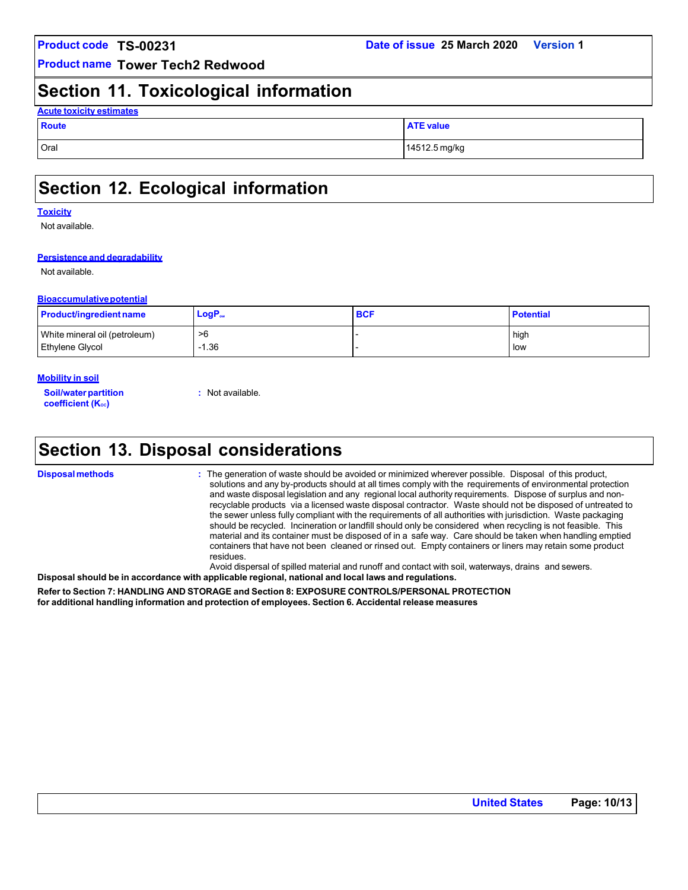### **Date of issue 25 March 2020 Version 1**

**Product name Tower Tech2 Redwood**

### **Section 11. Toxicological information**

| <b>Acute toxicity estimates</b> |                  |  |  |  |  |
|---------------------------------|------------------|--|--|--|--|
| Route                           | <b>ATE value</b> |  |  |  |  |
| Oral                            | 14512.5 mg/kg    |  |  |  |  |

# **Section 12. Ecological information**

#### **Toxicity**

Not available.

#### **Persistence and degradability**

Not available.

#### **Bioaccumulativepotential**

| <b>Product/ingredient name</b> | $LogP_{ow}$ | <b>BCF</b> | <b>Potential</b> |
|--------------------------------|-------------|------------|------------------|
| White mineral oil (petroleum)  | >6          |            | high             |
| <b>Ethylene Glycol</b>         | $-1.36$     |            | low              |

#### **Mobility in soil**

**Soil/waterpartition** coefficient (K<sub>oc</sub>)

**:** Not available.

# **Section 13. Disposal considerations**

**Disposal methods :** The generation of waste should be avoided or minimized wherever possible. Disposal of this product, solutions and any by-products should at all times comply with the requirements of environmental protection and waste disposal legislation and any regional local authority requirements. Dispose of surplus and nonrecyclable products via a licensed waste disposal contractor. Waste should not be disposed of untreated to the sewer unless fully compliant with the requirements of all authorities with jurisdiction. Waste packaging should be recycled. Incineration or landfill should only be considered when recycling is not feasible. This material and its container must be disposed of in a safe way. Care should be taken when handling emptied containers that have not been cleaned or rinsed out. Empty containers or liners may retain some product residues.

Avoid dispersal of spilled material and runoff and contact with soil, waterways, drains and sewers. **Disposal should be in accordance with applicable regional, national and local laws and regulations.**

**Refer to Section 7: HANDLING AND STORAGE and Section 8: EXPOSURE CONTROLS/PERSONAL PROTECTION for additional handling information and protection of employees. Section 6. Accidental release measures**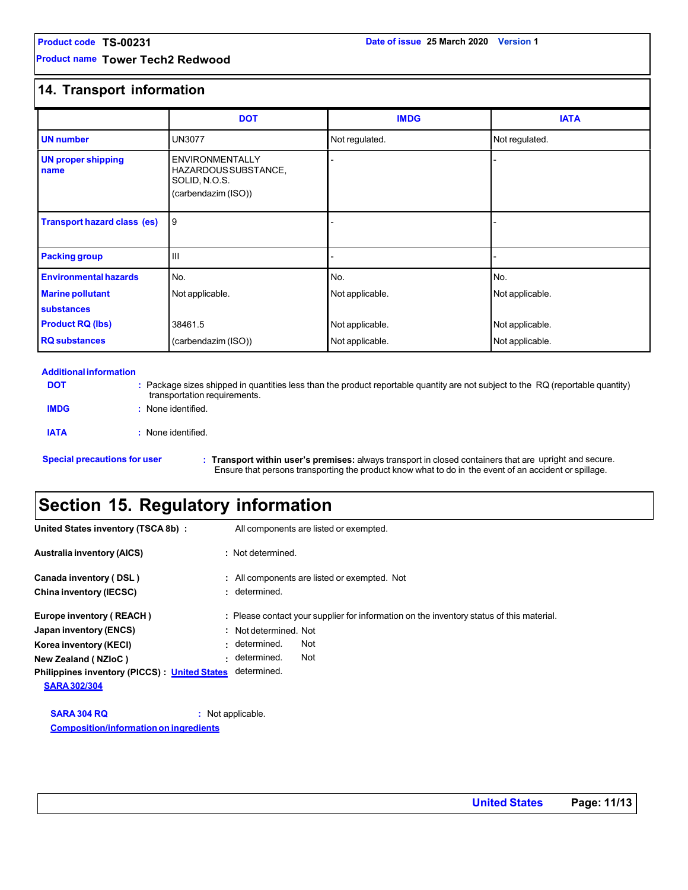**Product name Tower Tech2 Redwood**

### **14. Transport information**

|                                    | <b>DOT</b>                                                                             | <b>IMDG</b>     | <b>IATA</b>     |  |
|------------------------------------|----------------------------------------------------------------------------------------|-----------------|-----------------|--|
| <b>UN</b> number                   | <b>UN3077</b>                                                                          | Not regulated.  | Not regulated.  |  |
| <b>UN proper shipping</b><br>name  | <b>ENVIRONMENTALLY</b><br>HAZARDOUS SUBSTANCE,<br>SOLID, N.O.S.<br>(carbendazim (ISO)) |                 |                 |  |
| <b>Transport hazard class (es)</b> | 9                                                                                      |                 |                 |  |
| <b>Packing group</b>               | $\mathbf{H}$                                                                           |                 |                 |  |
| <b>Environmental hazards</b>       | No.                                                                                    | No.             | No.             |  |
| <b>Marine pollutant</b>            | Not applicable.                                                                        | Not applicable. | Not applicable. |  |
| substances                         |                                                                                        |                 |                 |  |
| <b>Product RQ (lbs)</b><br>38461.5 |                                                                                        | Not applicable. | Not applicable. |  |
| <b>RQ</b> substances               | (carbendazim (ISO))                                                                    | Not applicable. | Not applicable. |  |

#### **Additional information**

**DOT**

**IMDG**

**:** Package sizes shipped in quantities less than the product reportable quantity are not subject to the RQ (reportable quantity) transportation requirements. **:** None identified. **IATA :** None identified.

**Special precautions for user : Transport within user's premises:** always transport in closed containers that are upright and secure. Ensure that persons transporting the product know what to do in the event of an accident or spillage.

### **Section 15. Regulatory information**

| United States inventory (TSCA 8b) :          | All components are listed or exempted.                                                   |
|----------------------------------------------|------------------------------------------------------------------------------------------|
| <b>Australia inventory (AICS)</b>            | : Not determined.                                                                        |
| Canada inventory (DSL)                       | : All components are listed or exempted. Not                                             |
| China inventory (IECSC)                      | : determined.                                                                            |
| Europe inventory (REACH)                     | : Please contact your supplier for information on the inventory status of this material. |
| Japan inventory (ENCS)                       | : Not determined. Not                                                                    |
| Korea inventory (KECI)                       | Not<br>: determined.                                                                     |
| New Zealand (NZIoC)                          | Not<br>· determined.                                                                     |
| Philippines inventory (PICCS): United States | determined.                                                                              |
| <b>SARA 302/304</b>                          |                                                                                          |
| <b>SARA 304 RQ</b>                           | : Not applicable.                                                                        |

**Composition/informationon ingredients**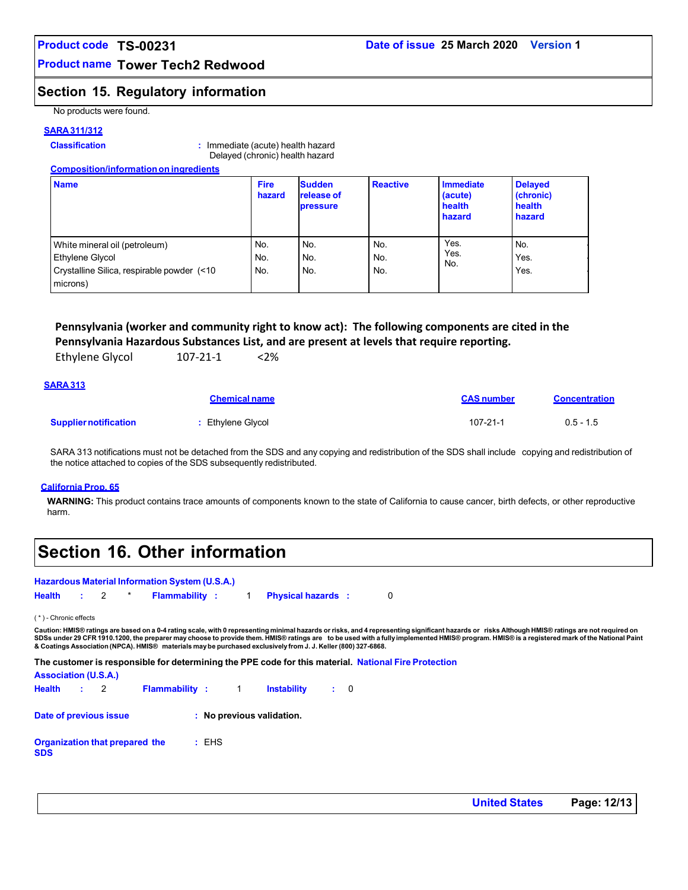### **Product name Tower Tech2 Redwood**

### **Section 15. Regulatory information**

No products were found.

#### **SARA311/312**

#### **Classification :** Immediate (acute) health hazard Delayed (chronic) health hazard

| <b>Composition/information on ingredients</b>                                                              |                       |                                                |                   |                                          |                                                 |
|------------------------------------------------------------------------------------------------------------|-----------------------|------------------------------------------------|-------------------|------------------------------------------|-------------------------------------------------|
| <b>Name</b>                                                                                                | <b>Fire</b><br>hazard | <b>Sudden</b><br>release of<br><b>pressure</b> | <b>Reactive</b>   | Immediate<br>(acute)<br>health<br>hazard | <b>Delayed</b><br>(chronic)<br>health<br>hazard |
| White mineral oil (petroleum)<br>Ethylene Glycol<br>Crystalline Silica, respirable powder (<10<br>microns) | No.<br>No.<br>No.     | No.<br>No.<br>No.                              | No.<br>No.<br>No. | Yes.<br>Yes.<br>No.                      | No.<br>Yes.<br>Yes.                             |

### **Pennsylvania (worker and community right to know act): The following components are cited in the Pennsylvania Hazardous Substances List, and are present at levels that require reporting.**

| <b>Ethylene Glycol</b> | 107-21-1 | 2% |
|------------------------|----------|----|
|                        |          |    |

#### **SARA313**

|                              | <b>Chemical name</b> | <b>CAS number</b> | <b>Concentration</b> |
|------------------------------|----------------------|-------------------|----------------------|
| <b>Supplier notification</b> | : Ethylene Glycol    | 107-21-1          | $0.5 - 1.5$          |

SARA 313 notifications must not be detached from the SDS and any copying and redistribution of the SDS shall include copying and redistribution of the notice attached to copies of the SDS subsequently redistributed.

#### **California Prop. 65**

**WARNING:** This product contains trace amounts of components known to the state of California to cause cancer, birth defects, or other reproductive harm.

# **Section 16. Other information**

#### **Hazardous Material Information System (U.S.A.)**

| Health |  | Flammability |  | <b>Physical hazards</b> |  |
|--------|--|--------------|--|-------------------------|--|
|        |  |              |  |                         |  |

( \* ) - Chronic effects

Caution: HMIS® ratings are based on a 0-4 rating scale, with 0 representing minimal hazards or rissenting significant hazards or risks Although HMIS® ratings are not required on<br>SDSs under 29 CFR 1910.1200, the preparer ma **& Coatings Association (NPCA). HMIS® materials maybe purchased exclusively from J. J. Keller (800) 327-6868.**

**The customer is responsible for determining the PPE code for this material. National Fire Protection**

#### **Association (U.S.A.)**

| Health : 2                                   |  | <b>Flammability</b> : 1 |       | <b>Instability</b>        | : 0 |  |
|----------------------------------------------|--|-------------------------|-------|---------------------------|-----|--|
| Date of previous issue                       |  |                         |       | : No previous validation. |     |  |
| Organization that prepared the<br><b>SDS</b> |  |                         | : EHS |                           |     |  |